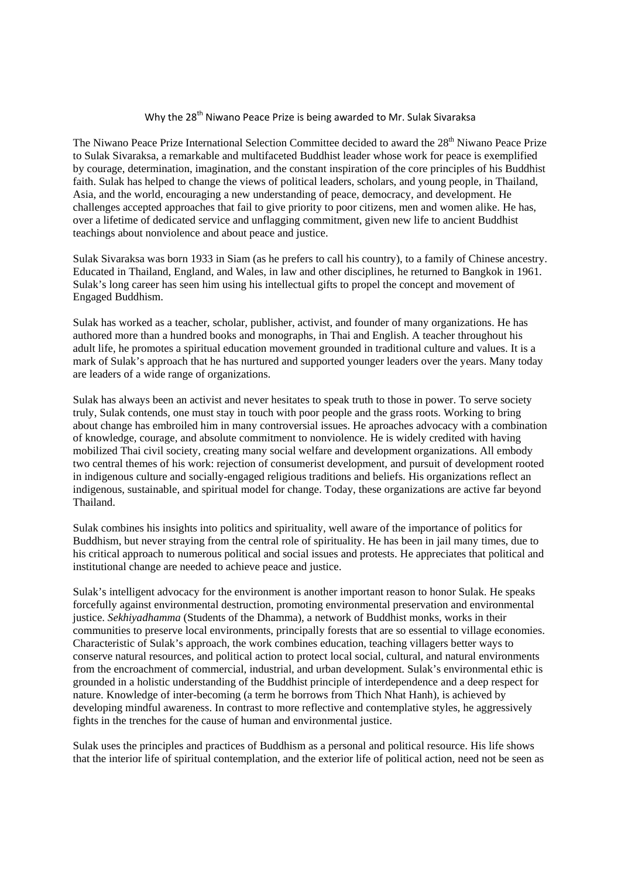## Why the 28<sup>th</sup> Niwano Peace Prize is being awarded to Mr. Sulak Sivaraksa

The Niwano Peace Prize International Selection Committee decided to award the 28<sup>th</sup> Niwano Peace Prize to Sulak Sivaraksa, a remarkable and multifaceted Buddhist leader whose work for peace is exemplified by courage, determination, imagination, and the constant inspiration of the core principles of his Buddhist faith. Sulak has helped to change the views of political leaders, scholars, and young people, in Thailand, Asia, and the world, encouraging a new understanding of peace, democracy, and development. He challenges accepted approaches that fail to give priority to poor citizens, men and women alike. He has, over a lifetime of dedicated service and unflagging commitment, given new life to ancient Buddhist teachings about nonviolence and about peace and justice.

Sulak Sivaraksa was born 1933 in Siam (as he prefers to call his country), to a family of Chinese ancestry. Educated in Thailand, England, and Wales, in law and other disciplines, he returned to Bangkok in 1961. Sulak's long career has seen him using his intellectual gifts to propel the concept and movement of Engaged Buddhism.

Sulak has worked as a teacher, scholar, publisher, activist, and founder of many organizations. He has authored more than a hundred books and monographs, in Thai and English. A teacher throughout his adult life, he promotes a spiritual education movement grounded in traditional culture and values. It is a mark of Sulak's approach that he has nurtured and supported younger leaders over the years. Many today are leaders of a wide range of organizations.

Sulak has always been an activist and never hesitates to speak truth to those in power. To serve society truly, Sulak contends, one must stay in touch with poor people and the grass roots. Working to bring about change has embroiled him in many controversial issues. He aproaches advocacy with a combination of knowledge, courage, and absolute commitment to nonviolence. He is widely credited with having mobilized Thai civil society, creating many social welfare and development organizations. All embody two central themes of his work: rejection of consumerist development, and pursuit of development rooted in indigenous culture and socially-engaged religious traditions and beliefs. His organizations reflect an indigenous, sustainable, and spiritual model for change. Today, these organizations are active far beyond Thailand.

Sulak combines his insights into politics and spirituality, well aware of the importance of politics for Buddhism, but never straying from the central role of spirituality. He has been in jail many times, due to his critical approach to numerous political and social issues and protests. He appreciates that political and institutional change are needed to achieve peace and justice.

Sulak's intelligent advocacy for the environment is another important reason to honor Sulak. He speaks forcefully against environmental destruction, promoting environmental preservation and environmental justice. *Sekhiyadhamma* (Students of the Dhamma)*,* a network of Buddhist monks, works in their communities to preserve local environments, principally forests that are so essential to village economies. Characteristic of Sulak's approach, the work combines education, teaching villagers better ways to conserve natural resources, and political action to protect local social, cultural, and natural environments from the encroachment of commercial, industrial, and urban development. Sulak's environmental ethic is grounded in a holistic understanding of the Buddhist principle of interdependence and a deep respect for nature. Knowledge of inter-becoming (a term he borrows from Thich Nhat Hanh), is achieved by developing mindful awareness. In contrast to more reflective and contemplative styles, he aggressively fights in the trenches for the cause of human and environmental justice.

Sulak uses the principles and practices of Buddhism as a personal and political resource. His life shows that the interior life of spiritual contemplation, and the exterior life of political action, need not be seen as